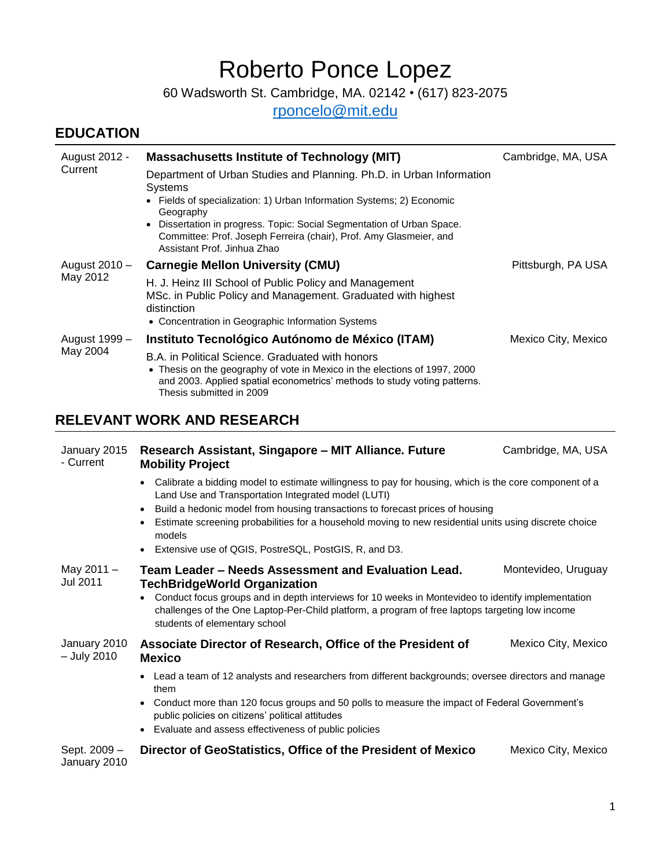# Roberto Ponce Lopez

60 Wadsworth St. Cambridge, MA. 02142 • (617) 823-2075

[rponcelo@mit.edu](mailto:rponcelo@mit.edu)

## **EDUCATION**

| August 2012 -<br>Current          | <b>Massachusetts Institute of Technology (MIT)</b>                                                                                                                                                                                                                                                                                                            | Cambridge, MA, USA  |  |
|-----------------------------------|---------------------------------------------------------------------------------------------------------------------------------------------------------------------------------------------------------------------------------------------------------------------------------------------------------------------------------------------------------------|---------------------|--|
|                                   | Department of Urban Studies and Planning. Ph.D. in Urban Information<br>Systems<br>Fields of specialization: 1) Urban Information Systems; 2) Economic<br>Geography<br>Dissertation in progress. Topic: Social Segmentation of Urban Space.<br>$\bullet$<br>Committee: Prof. Joseph Ferreira (chair), Prof. Amy Glasmeier, and<br>Assistant Prof. Jinhua Zhao |                     |  |
| August 2010 –<br>May 2012         | <b>Carnegie Mellon University (CMU)</b>                                                                                                                                                                                                                                                                                                                       | Pittsburgh, PA USA  |  |
|                                   | H. J. Heinz III School of Public Policy and Management<br>MSc. in Public Policy and Management. Graduated with highest<br>distinction<br>• Concentration in Geographic Information Systems                                                                                                                                                                    |                     |  |
| August 1999 –<br>May 2004         | Instituto Tecnológico Autónomo de México (ITAM)                                                                                                                                                                                                                                                                                                               | Mexico City, Mexico |  |
|                                   | B.A. in Political Science. Graduated with honors<br>• Thesis on the geography of vote in Mexico in the elections of 1997, 2000<br>and 2003. Applied spatial econometrics' methods to study voting patterns.<br>Thesis submitted in 2009                                                                                                                       |                     |  |
| <b>RELEVANT WORK AND RESEARCH</b> |                                                                                                                                                                                                                                                                                                                                                               |                     |  |

| January 2015<br>- Current    | Research Assistant, Singapore - MIT Alliance. Future<br><b>Mobility Project</b>                                                                                                                                                                                                                                                                                                                                                                                      | Cambridge, MA, USA  |  |
|------------------------------|----------------------------------------------------------------------------------------------------------------------------------------------------------------------------------------------------------------------------------------------------------------------------------------------------------------------------------------------------------------------------------------------------------------------------------------------------------------------|---------------------|--|
|                              | Calibrate a bidding model to estimate willingness to pay for housing, which is the core component of a<br>$\bullet$<br>Land Use and Transportation Integrated model (LUTI)<br>Build a hedonic model from housing transactions to forecast prices of housing<br>$\bullet$<br>Estimate screening probabilities for a household moving to new residential units using discrete choice<br>$\bullet$<br>models<br>• Extensive use of QGIS, PostreSQL, PostGIS, R, and D3. |                     |  |
| May $2011 -$<br>Jul 2011     | Team Leader - Needs Assessment and Evaluation Lead.<br><b>TechBridgeWorld Organization</b><br>Conduct focus groups and in depth interviews for 10 weeks in Montevideo to identify implementation<br>challenges of the One Laptop-Per-Child platform, a program of free laptops targeting low income<br>students of elementary school                                                                                                                                 | Montevideo, Uruguay |  |
| January 2010<br>– July 2010  | Associate Director of Research, Office of the President of<br><b>Mexico</b>                                                                                                                                                                                                                                                                                                                                                                                          | Mexico City, Mexico |  |
|                              | • Lead a team of 12 analysts and researchers from different backgrounds; oversee directors and manage<br>them<br>Conduct more than 120 focus groups and 50 polls to measure the impact of Federal Government's<br>$\bullet$<br>public policies on citizens' political attitudes<br>• Evaluate and assess effectiveness of public policies                                                                                                                            |                     |  |
| Sept. 2009 -<br>January 2010 | Director of GeoStatistics, Office of the President of Mexico                                                                                                                                                                                                                                                                                                                                                                                                         | Mexico City, Mexico |  |

January 2010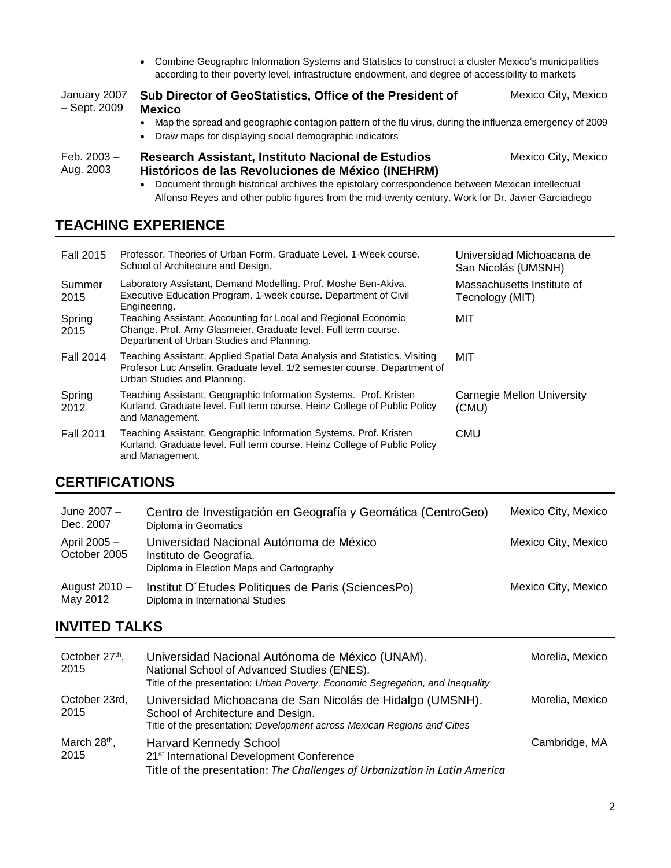Combine Geographic Information Systems and Statistics to construct a cluster Mexico's municipalities according to their poverty level, infrastructure endowment, and degree of accessibility to markets

| January 2007<br>- Sept. 2009 | Sub Director of GeoStatistics, Office of the President of<br><b>Mexico</b><br>Map the spread and geographic contagion pattern of the flu virus, during the influenza emergency of 2009<br>Draw maps for displaying social demographic indicators | Mexico City, Mexico                                                                                                                                                                                                           |  |
|------------------------------|--------------------------------------------------------------------------------------------------------------------------------------------------------------------------------------------------------------------------------------------------|-------------------------------------------------------------------------------------------------------------------------------------------------------------------------------------------------------------------------------|--|
| Feb. 2003 –<br>Aug. 2003     | Research Assistant, Instituto Nacional de Estudios<br>Históricos de las Revoluciones de México (INEHRM)                                                                                                                                          | Mexico City, Mexico<br>Document through historical archives the epistolary correspondence between Mexican intellectual<br>Alfonso Reyes and other public figures from the mid-twenty century. Work for Dr. Javier Garciadiego |  |

#### **TEACHING EXPERIENCE**

| <b>Fall 2015</b>             |                                                                            | Professor, Theories of Urban Form. Graduate Level. 1-Week course.<br>School of Architecture and Design.                                                                               | Universidad Michoacana de<br>San Nicolás (UMSNH) |                     |
|------------------------------|----------------------------------------------------------------------------|---------------------------------------------------------------------------------------------------------------------------------------------------------------------------------------|--------------------------------------------------|---------------------|
| Summer<br>2015               |                                                                            | Laboratory Assistant, Demand Modelling. Prof. Moshe Ben-Akiva.<br>Executive Education Program. 1-week course. Department of Civil<br>Engineering.                                     | Massachusetts Institute of<br>Tecnology (MIT)    |                     |
| Spring<br>2015               |                                                                            | Teaching Assistant, Accounting for Local and Regional Economic<br>Change. Prof. Amy Glasmeier. Graduate level. Full term course.<br>Department of Urban Studies and Planning.         |                                                  |                     |
| <b>Fall 2014</b>             |                                                                            | Teaching Assistant, Applied Spatial Data Analysis and Statistics. Visiting<br>Profesor Luc Anselin. Graduate level. 1/2 semester course. Department of<br>Urban Studies and Planning. | <b>MIT</b>                                       |                     |
| Spring<br>2012               |                                                                            | Teaching Assistant, Geographic Information Systems. Prof. Kristen<br>Kurland. Graduate level. Full term course. Heinz College of Public Policy<br>and Management.                     | <b>Carnegie Mellon University</b><br>(CMU)       |                     |
| <b>Fall 2011</b>             |                                                                            | Teaching Assistant, Geographic Information Systems. Prof. Kristen<br>Kurland. Graduate level. Full term course. Heinz College of Public Policy<br>and Management.                     | <b>CMU</b>                                       |                     |
| <b>CERTIFICATIONS</b>        |                                                                            |                                                                                                                                                                                       |                                                  |                     |
| June 2007 -<br>Dec. 2007     |                                                                            | Centro de Investigación en Geografía y Geomática (CentroGeo)<br>Diploma in Geomatics                                                                                                  |                                                  | Mexico City, Mexico |
| April 2005 -<br>October 2005 |                                                                            | Universidad Nacional Autónoma de México<br>Instituto de Geografía.<br>Diploma in Election Maps and Cartography                                                                        |                                                  | Mexico City, Mexico |
| August 2010 -<br>May 2012    |                                                                            | Institut D'Etudes Politiques de Paris (SciencesPo)<br>Diploma in International Studies                                                                                                |                                                  | Mexico City, Mexico |
| <b>INVITED TALKS</b>         |                                                                            |                                                                                                                                                                                       |                                                  |                     |
| October 27th,<br>2015        |                                                                            | Universidad Nacional Autónoma de México (UNAM).<br>National School of Advanced Studies (ENES).<br>Title of the presentation: Urban Poverty, Economic Segregation, and Inequality      |                                                  | Morelia, Mexico     |
|                              | October 23rd,<br>Universidad Michoacana de San Nicolás de Hidalgo (UMSNH). |                                                                                                                                                                                       | Morelia, Mexico                                  |                     |

2015 School of Architecture and Design. Title of the presentation: *Development across Mexican Regions and Cities* March 28<sup>th</sup>, 2015 Harvard Kennedy School 21<sup>st</sup> International Development Conference Cambridge, MA Title of the presentation: *The Challenges of Urbanization in Latin America*